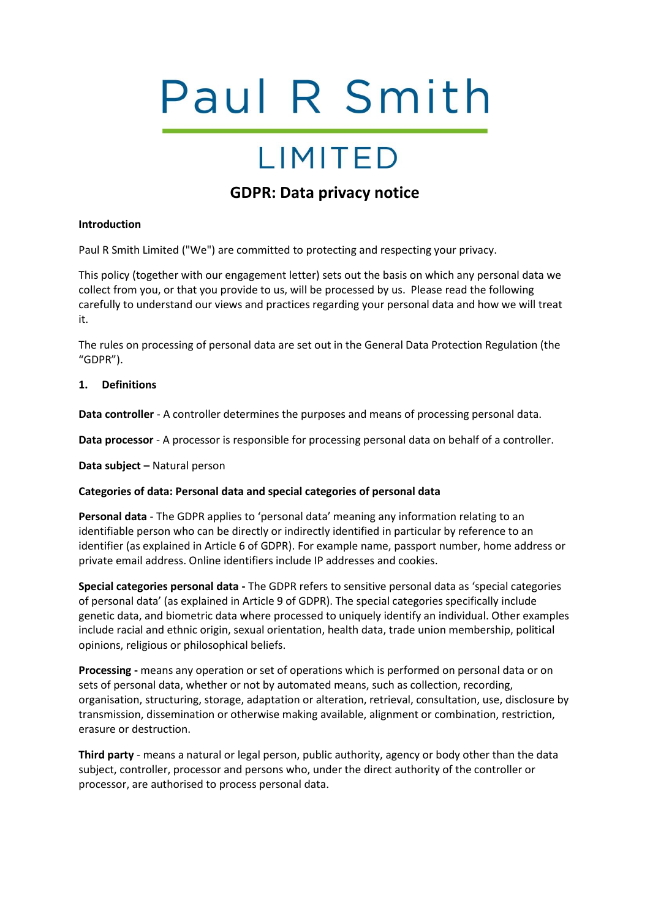# Paul R Smith

## **LIMITED**

### **GDPR: Data privacy notice**

#### **Introduction**

Paul R Smith Limited ("We") are committed to protecting and respecting your privacy.

This policy (together with our engagement letter) sets out the basis on which any personal data we collect from you, or that you provide to us, will be processed by us. Please read the following carefully to understand our views and practices regarding your personal data and how we will treat it.

The rules on processing of personal data are set out in the General Data Protection Regulation (the "GDPR").

#### **1. Definitions**

**Data controller** - A controller determines the purposes and means of processing personal data.

**Data processor** - A processor is responsible for processing personal data on behalf of a controller.

**Data subject –** Natural person

#### **Categories of data: Personal data and special categories of personal data**

**Personal data** - The GDPR applies to 'personal data' meaning any information relating to an identifiable person who can be directly or indirectly identified in particular by reference to an identifier (as explained in Article 6 of GDPR). For example name, passport number, home address or private email address. Online identifiers include IP addresses and cookies.

**Special categories personal data -** The GDPR refers to sensitive personal data as 'special categories of personal data' (as explained in Article 9 of GDPR). The special categories specifically include genetic data, and biometric data where processed to uniquely identify an individual. Other examples include racial and ethnic origin, sexual orientation, health data, trade union membership, political opinions, religious or philosophical beliefs.

**Processing -** means any operation or set of operations which is performed on personal data or on sets of personal data, whether or not by automated means, such as collection, recording, organisation, structuring, storage, adaptation or alteration, retrieval, consultation, use, disclosure by transmission, dissemination or otherwise making available, alignment or combination, restriction, erasure or destruction.

**Third party** - means a natural or legal person, public authority, agency or body other than the data subject, controller, processor and persons who, under the direct authority of the controller or processor, are authorised to process personal data.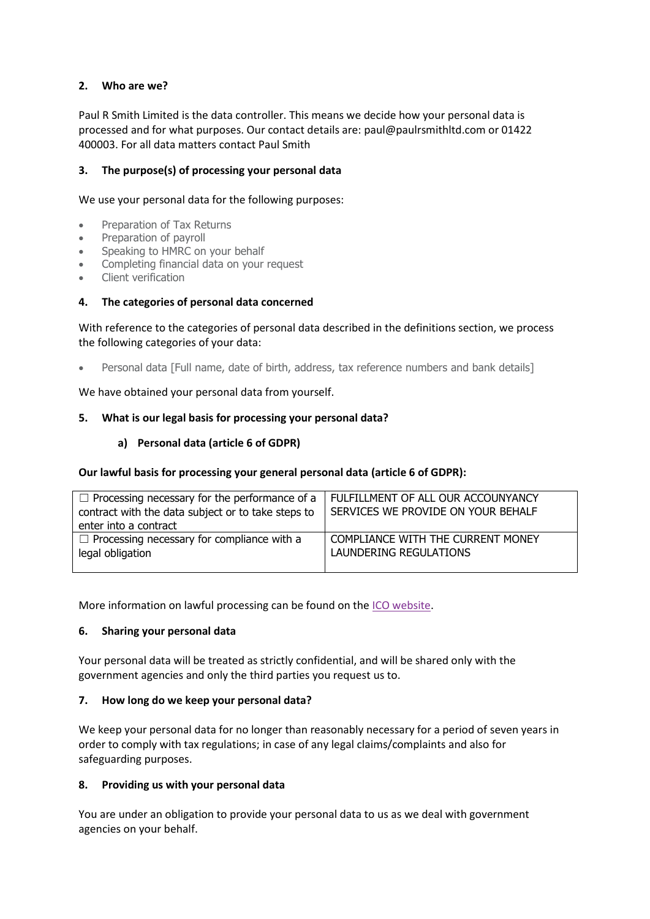#### **2. Who are we?**

Paul R Smith Limited is the data controller. This means we decide how your personal data is processed and for what purposes. Our contact details are: paul@paulrsmithltd.com or 01422 400003. For all data matters contact Paul Smith

#### **3. The purpose(s) of processing your personal data**

We use your personal data for the following purposes:

- Preparation of Tax Returns
- Preparation of payroll
- Speaking to HMRC on your behalf
- Completing financial data on your request
- Client verification

#### **4. The categories of personal data concerned**

With reference to the categories of personal data described in the definitions section, we process the following categories of your data:

Personal data [Full name, date of birth, address, tax reference numbers and bank details]

We have obtained your personal data from yourself.

#### **5. What is our legal basis for processing your personal data?**

#### **a) Personal data (article 6 of GDPR)**

#### **Our lawful basis for processing your general personal data (article 6 of GDPR):**

| $\Box$ Processing necessary for the performance of a<br>contract with the data subject or to take steps to<br>enter into a contract | I FULFILLMENT OF ALL OUR ACCOUNYANCY<br>SERVICES WE PROVIDE ON YOUR BEHALF |
|-------------------------------------------------------------------------------------------------------------------------------------|----------------------------------------------------------------------------|
| $\Box$ Processing necessary for compliance with a                                                                                   | COMPLIANCE WITH THE CURRENT MONEY                                          |
| legal obligation                                                                                                                    | LAUNDERING REGULATIONS                                                     |

More information on lawful processing can be found on the [ICO website.](https://ico.org.uk/for-organisations/guide-to-the-general-data-protection-regulation-gdpr/lawful-basis-for-processing/)

#### **6. Sharing your personal data**

Your personal data will be treated as strictly confidential, and will be shared only with the government agencies and only the third parties you request us to.

#### **7. How long do we keep your personal data?**

We keep your personal data for no longer than reasonably necessary for a period of seven years in order to comply with tax regulations; in case of any legal claims/complaints and also for safeguarding purposes.

#### **8. Providing us with your personal data**

You are under an obligation to provide your personal data to us as we deal with government agencies on your behalf.